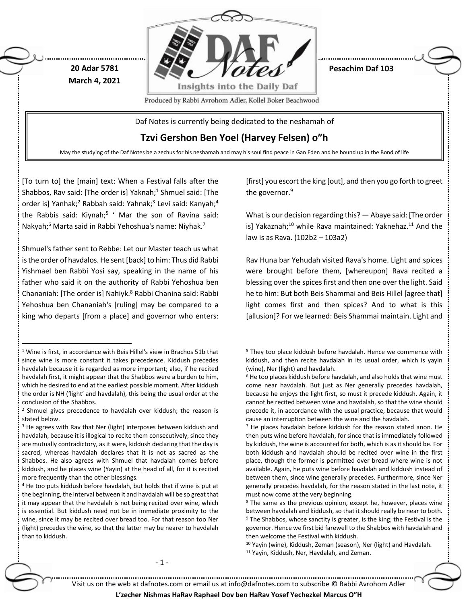

**Pesachim Daf 103**

Produced by Rabbi Avrohom Adler, Kollel Boker Beachwood

Daf Notes is currently being dedicated to the neshamah of

**Tzvi Gershon Ben Yoel (Harvey Felsen) o"h**

May the studying of the Daf Notes be a zechus for his neshamah and may his soul find peace in Gan Eden and be bound up in the Bond of life

[To turn to] the [main] text: When a Festival falls after the Shabbos, Rav said: [The order is] Yaknah;<sup>1</sup> Shmuel said: [The order is] Yanhak;<sup>2</sup> Rabbah said: Yahnak;<sup>3</sup> Levi said: Kanyah;<sup>4</sup> the Rabbis said: Kiynah;<sup>5</sup> ' Mar the son of Ravina said: Nakyah;<sup>6</sup> Marta said in Rabbi Yehoshua's name: Niyhak.<sup>7</sup>

**20 Adar 5781 March 4, 2021**

Shmuel's father sent to Rebbe: Let our Master teach us what is the order of havdalos. He sent [back] to him: Thus did Rabbi Yishmael ben Rabbi Yosi say, speaking in the name of his father who said it on the authority of Rabbi Yehoshua ben Chananiah: [The order is] Nahiyk.<sup>8</sup> Rabbi Chanina said: Rabbi Yehoshua ben Chananiah's [ruling] may be compared to a king who departs [from a place] and governor who enters:

 $\overline{a}$ 

[first] you escort the king [out], and then you go forth to greet the governor.<sup>9</sup>

What is our decision regarding this? — Abaye said: [The order is] Yakaznah;<sup>10</sup> while Rava maintained: Yaknehaz.<sup>11</sup> And the law is as Rava. (102b2 – 103a2)

Rav Huna bar Yehudah visited Rava's home. Light and spices were brought before them, [whereupon] Rava recited a blessing over the spices first and then one over the light. Said he to him: But both Beis Shammai and Beis Hillel [agree that] light comes first and then spices? And to what is this [allusion]? For we learned: Beis Shammai maintain. Light and

- 1 -

## **L'zecher Nishmas HaRav Raphael Dov ben HaRav Yosef Yechezkel Marcus O"H**

<sup>1</sup> Wine is first, in accordance with Beis Hillel's view in Brachos 51b that since wine is more constant it takes precedence. Kiddush precedes havdalah because it is regarded as more important; also, if he recited havdalah first, it might appear that the Shabbos were a burden to him, which he desired to end at the earliest possible moment. After kiddush the order is NH ('light' and havdalah), this being the usual order at the conclusion of the Shabbos.

<sup>2</sup> Shmuel gives precedence to havdalah over kiddush; the reason is stated below.

<sup>&</sup>lt;sup>3</sup> He agrees with Rav that Ner (light) interposes between kiddush and havdalah, because it is illogical to recite them consecutively, since they are mutually contradictory, as it were, kiddush declaring that the day is sacred, whereas havdalah declares that it is not as sacred as the Shabbos. He also agrees with Shmuel that havdalah comes before kiddush, and he places wine (Yayin) at the head of all, for it is recited more frequently than the other blessings.

<sup>4</sup> He too puts kiddush before havdalah, but holds that if wine is put at the beginning, the interval between it and havdalah will be so great that it may appear that the havdalah is not being recited over wine, which is essential. But kiddush need not be in immediate proximity to the wine, since it may be recited over bread too. For that reason too Ner (light) precedes the wine, so that the latter may be nearer to havdalah than to kiddush.

<sup>&</sup>lt;sup>5</sup> They too place kiddush before havdalah. Hence we commence with kiddush, and then recite havdalah in its usual order, which is yayin (wine), Ner (light) and havdalah.

<sup>6</sup> He too places kiddush before havdalah, and also holds that wine must come near havdalah. But just as Ner generally precedes havdalah, because he enjoys the light first, so must it precede kiddush. Again, it cannot be recited between wine and havdalah, so that the wine should precede it, in accordance with the usual practice, because that would cause an interruption between the wine and the havdalah.

<sup>7</sup> He places havdalah before kiddush for the reason stated anon. He then puts wine before havdalah, for since that is immediately followed by kiddush, the wine is accounted for both, which is as it should be. For both kiddush and havdalah should be recited over wine in the first place, though the former is permitted over bread where wine is not available. Again, he puts wine before havdalah and kiddush instead of between them, since wine generally precedes. Furthermore, since Ner generally precedes havdalah, for the reason stated in the last note, it must now come at the very beginning.

<sup>&</sup>lt;sup>8</sup> The same as the previous opinion, except he, however, places wine between havdalah and kiddush, so that it should really be near to both. <sup>9</sup> The Shabbos, whose sanctity is greater, is the king; the Festival is the governor. Hence we first bid farewell to the Shabbos with havdalah and then welcome the Festival with kiddush.

<sup>10</sup> Yayin (wine), Kiddush, Zeman (season), Ner (light) and Havdalah. <sup>11</sup> Yayin, Kiddush, Ner, Havdalah, and Zeman.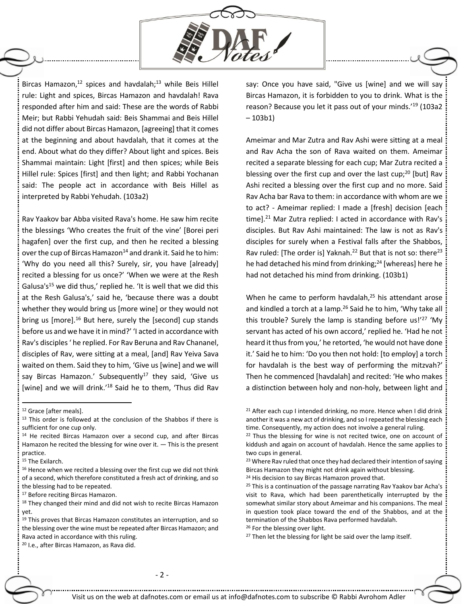

Bircas Hamazon, <sup>12</sup> spices and havdalah; <sup>13</sup> while Beis Hillel rule: Light and spices, Bircas Hamazon and havdalah! Rava responded after him and said: These are the words of Rabbi Meir; but Rabbi Yehudah said: Beis Shammai and Beis Hillel did not differ about Bircas Hamazon, [agreeing] that it comes at the beginning and about havdalah, that it comes at the end. About what do they differ? About light and spices. Beis Shammai maintain: Light [first] and then spices; while Beis Hillel rule: Spices [first] and then light; and Rabbi Yochanan said: The people act in accordance with Beis Hillel as interpreted by Rabbi Yehudah. (103a2)

Rav Yaakov bar Abba visited Rava's home. He saw him recite the blessings 'Who creates the fruit of the vine' [Borei peri hagafen] over the first cup, and then he recited a blessing over the cup of Bircas Hamazon<sup>14</sup> and drank it. Said he to him: 'Why do you need all this? Surely, sir, you have [already] recited a blessing for us once?' 'When we were at the Resh Galusa's<sup>15</sup> we did thus,' replied he. 'It is well that we did this at the Resh Galusa's,' said he, 'because there was a doubt whether they would bring us [more wine] or they would not bring us [more].<sup>16</sup> But here, surely the [second] cup stands before us and we have it in mind?' 'I acted in accordance with Rav's disciples ' he replied. For Rav Beruna and Rav Chananel, disciples of Rav, were sitting at a meal, [and] Rav Yeiva Sava waited on them. Said they to him, 'Give us [wine] and we will say Bircas Hamazon.' Subsequently<sup>17</sup> they said, 'Give us [wine] and we will drink.<sup>18</sup> Said he to them, 'Thus did Rav

- <sup>14</sup> He recited Bircas Hamazon over a second cup, and after Bircas Hamazon he recited the blessing for wine over it.  $-$  This is the present practice.
- <sup>15</sup> The Exilarch.

 $\overline{a}$ 

<sup>17</sup> Before reciting Bircas Hamazon.

18 They changed their mind and did not wish to recite Bircas Hamazon yet.

<sup>19</sup> This proves that Bircas Hamazon constitutes an interruption, and so the blessing over the wine must be repeated after Bircas Hamazon; and Rava acted in accordance with this ruling.

<sup>20</sup> I.e., after Bircas Hamazon, as Rava did.

say: Once you have said, "Give us [wine] and we will say Bircas Hamazon, it is forbidden to you to drink. What is the reason? Because you let it pass out of your minds.'<sup>19</sup> (103a2 – 103b1)

Ameimar and Mar Zutra and Rav Ashi were sitting at a meal and Rav Acha the son of Rava waited on them. Ameimar recited a separate blessing for each cup; Mar Zutra recited a blessing over the first cup and over the last cup;<sup>20</sup> [but] Rav Ashi recited a blessing over the first cup and no more. Said Rav Acha bar Rava to them: in accordance with whom are we to act? - Ameimar replied: I made a [fresh] decision [each time].<sup>21</sup> Mar Zutra replied: I acted in accordance with Rav's disciples. But Rav Ashi maintained: The law is not as Rav's disciples for surely when a Festival falls after the Shabbos, Rav ruled: [The order is] Yaknah.<sup>22</sup> But that is not so: there<sup>23</sup> he had detached his mind from drinking;<sup>24</sup> [whereas] here he had not detached his mind from drinking. (103b1)

When he came to perform havdalah,<sup>25</sup> his attendant arose and kindled a torch at a lamp.<sup>26</sup> Said he to him, 'Why take all this trouble? Surely the lamp is standing before us! $27$  'My servant has acted of his own accord,' replied he. 'Had he not heard it thus from you,' he retorted, 'he would not have done it.' Said he to him: 'Do you then not hold: [to employ] a torch for havdalah is the best way of performing the mitzvah?' Then he commenced [havdalah] and recited: 'He who makes a distinction between holy and non-holy, between light and

<sup>12</sup> Grace [after meals].

<sup>&</sup>lt;sup>13</sup> This order is followed at the conclusion of the Shabbos if there is sufficient for one cup only.

<sup>&</sup>lt;sup>16</sup> Hence when we recited a blessing over the first cup we did not think of a second, which therefore constituted a fresh act of drinking, and so the blessing had to be repeated.

 $21$  After each cup I intended drinking, no more. Hence when I did drink another it was a new act of drinking, and so I repeated the blessing each time. Consequently, my action does not involve a general ruling.

<sup>&</sup>lt;sup>22</sup> Thus the blessing for wine is not recited twice, one on account of kiddush and again on account of havdalah. Hence the same applies to two cups in general.

<sup>&</sup>lt;sup>23</sup> Where Rav ruled that once they had declared their intention of saying Bircas Hamazon they might not drink again without blessing.

<sup>&</sup>lt;sup>24</sup> His decision to say Bircas Hamazon proved that.

<sup>&</sup>lt;sup>25</sup> This is a continuation of the passage narrating Rav Yaakov bar Acha's visit to Rava, which had been parenthetically interrupted by the somewhat similar story about Ameimar and his companions. The meal in question took place toward the end of the Shabbos, and at the termination of the Shabbos Rava performed havdalah.

<sup>26</sup> For the blessing over light.

<sup>&</sup>lt;sup>27</sup> Then let the blessing for light be said over the lamp itself.